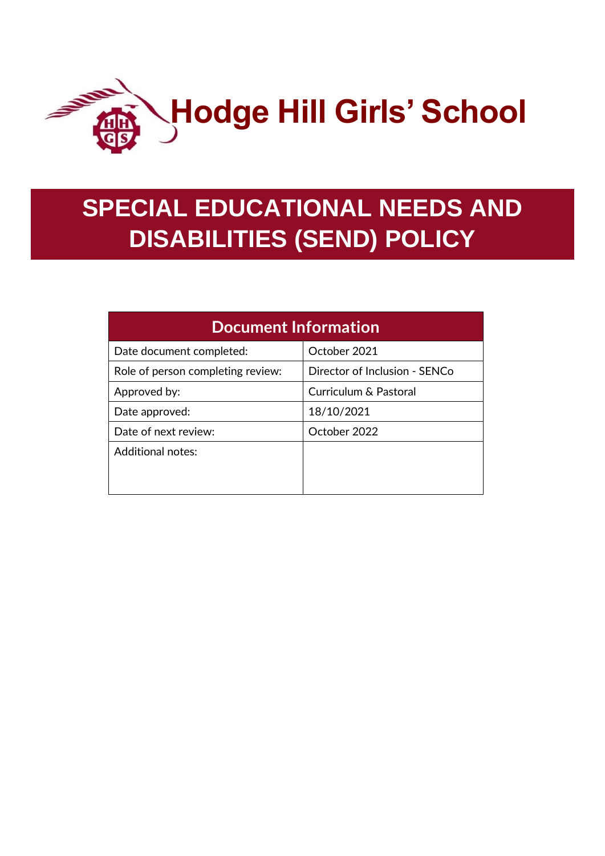

# **SPECIAL EDUCATIONAL NEEDS AND DISABILITIES (SEND) POLICY**

| <b>Document Information</b>       |                               |
|-----------------------------------|-------------------------------|
| Date document completed:          | October 2021                  |
| Role of person completing review: | Director of Inclusion - SENCo |
| Approved by:                      | Curriculum & Pastoral         |
| Date approved:                    | 18/10/2021                    |
| Date of next review:              | October 2022                  |
| Additional notes:                 |                               |
|                                   |                               |
|                                   |                               |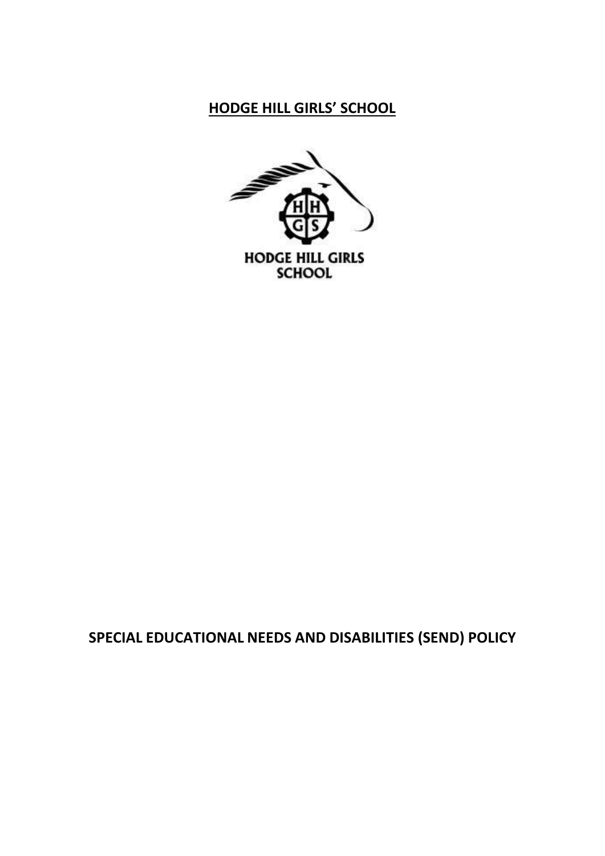## **HODGE HILL GIRLS' SCHOOL**



## **SPECIAL EDUCATIONAL NEEDS AND DISABILITIES (SEND) POLICY**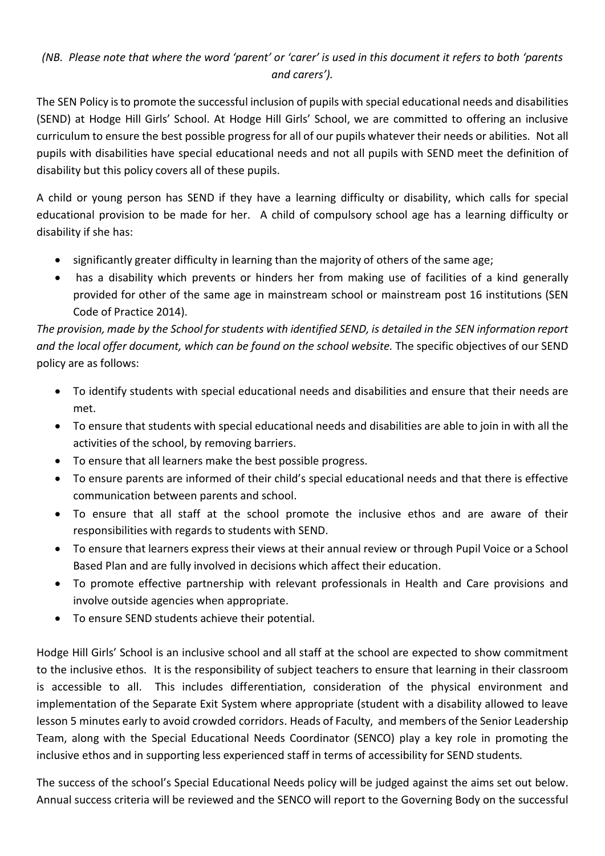### *(NB. Please note that where the word 'parent' or 'carer' is used in this document it refers to both 'parents and carers').*

The SEN Policy is to promote the successful inclusion of pupils with special educational needs and disabilities (SEND) at Hodge Hill Girls' School. At Hodge Hill Girls' School, we are committed to offering an inclusive curriculum to ensure the best possible progressfor all of our pupils whatever their needs or abilities. Not all pupils with disabilities have special educational needs and not all pupils with SEND meet the definition of disability but this policy covers all of these pupils.

A child or young person has SEND if they have a learning difficulty or disability, which calls for special educational provision to be made for her. A child of compulsory school age has a learning difficulty or disability if she has:

- significantly greater difficulty in learning than the majority of others of the same age;
- has a disability which prevents or hinders her from making use of facilities of a kind generally provided for other of the same age in mainstream school or mainstream post 16 institutions (SEN Code of Practice 2014).

*The provision, made by the School for students with identified SEND, is detailed in the SEN information report and the local offer document, which can be found on the school website.* The specific objectives of our SEND policy are as follows:

- To identify students with special educational needs and disabilities and ensure that their needs are met.
- To ensure that students with special educational needs and disabilities are able to join in with all the activities of the school, by removing barriers.
- To ensure that all learners make the best possible progress.
- To ensure parents are informed of their child's special educational needs and that there is effective communication between parents and school.
- To ensure that all staff at the school promote the inclusive ethos and are aware of their responsibilities with regards to students with SEND.
- To ensure that learners express their views at their annual review or through Pupil Voice or a School Based Plan and are fully involved in decisions which affect their education.
- To promote effective partnership with relevant professionals in Health and Care provisions and involve outside agencies when appropriate.
- To ensure SEND students achieve their potential.

Hodge Hill Girls' School is an inclusive school and all staff at the school are expected to show commitment to the inclusive ethos. It is the responsibility of subject teachers to ensure that learning in their classroom is accessible to all. This includes differentiation, consideration of the physical environment and implementation of the Separate Exit System where appropriate (student with a disability allowed to leave lesson 5 minutes early to avoid crowded corridors. Heads of Faculty, and members of the Senior Leadership Team, along with the Special Educational Needs Coordinator (SENCO) play a key role in promoting the inclusive ethos and in supporting less experienced staff in terms of accessibility for SEND students.

The success of the school's Special Educational Needs policy will be judged against the aims set out below. Annual success criteria will be reviewed and the SENCO will report to the Governing Body on the successful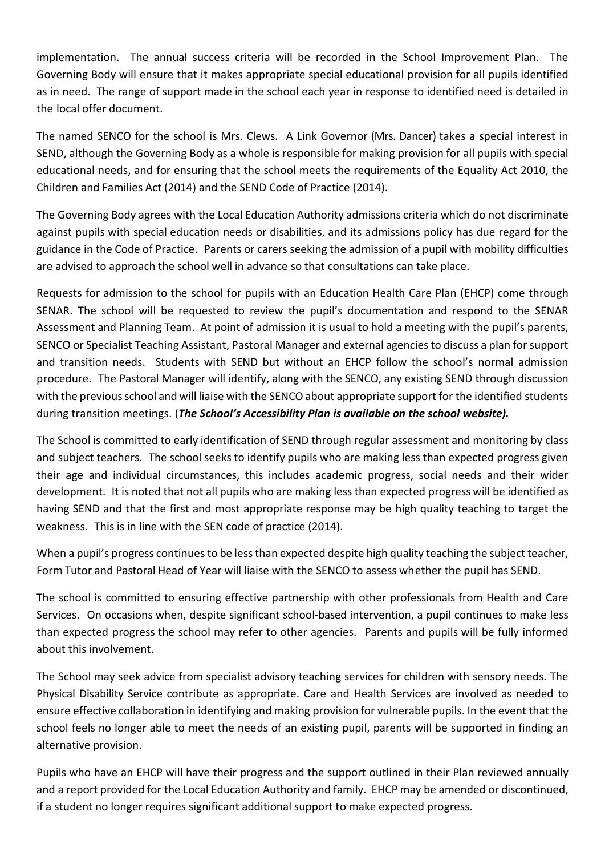implementation. The annual success criteria will be recorded in the School Improvement Plan. The Governing Body will ensure that it makes appropriate special educational provision for all pupils identified as in need. The range of support made in the school each year in response to identified need is detailed in the local offer document.

The named SENCO for the school is Mrs. Clews. A Link Governor (Mrs. Dancer) takes a special interest in SEND, although the Governing Body as a whole is responsible for making provision for all pupils with special educational needs, and for ensuring that the school meets the requirements of the Equality Act 2010, the Children and Families Act (2014) and the SEND Code of Practice (2014).

The Governing Body agrees with the Local Education Authority admissions criteria which do not discriminate against pupils with special education needs or disabilities, and its admissions policy has due regard for the guidance in the Code of Practice. Parents or carers seeking the admission of a pupil with mobility difficulties are advised to approach the school well in advance so that consultations can take place.

Requests for admission to the school for pupils with an Education Health Care Plan (EHCP) come through SENAR. The school will be requested to review the pupil's documentation and respond to the SENAR Assessment and Planning Team. At point of admission it is usual to hold a meeting with the pupil's parents, SENCO or Specialist Teaching Assistant, Pastoral Manager and external agencies to discuss a plan forsupport and transition needs. Students with SEND but without an EHCP follow the school's normal admission procedure. The Pastoral Manager will identify, along with the SENCO, any existing SEND through discussion with the previous school and will liaise with the SENCO about appropriate support for the identified students during transition meetings. (*The School's Accessibility Plan is available on the school website).*

The School is committed to early identification of SEND through regular assessment and monitoring by class and subject teachers. The school seeks to identify pupils who are making less than expected progress given their age and individual circumstances, this includes academic progress, social needs and their wider development. It is noted that not all pupils who are making less than expected progress will be identified as having SEND and that the first and most appropriate response may be high quality teaching to target the weakness. This is in line with the SEN code of practice (2014).

When a pupil's progress continues to be less than expected despite high quality teaching the subject teacher, Form Tutor and Pastoral Head of Year will liaise with the SENCO to assess whether the pupil has SEND.

The school is committed to ensuring effective partnership with other professionals from Health and Care Services. On occasions when, despite significant school-based intervention, a pupil continues to make less than expected progress the school may refer to other agencies. Parents and pupils will be fully informed about this involvement.

The School may seek advice from specialist advisory teaching services for children with sensory needs. The Physical Disability Service contribute as appropriate. Care and Health Services are involved as needed to ensure effective collaboration in identifying and making provision for vulnerable pupils. In the event that the school feels no longer able to meet the needs of an existing pupil, parents will be supported in finding an alternative provision.

Pupils who have an EHCP will have their progress and the support outlined in their Plan reviewed annually and a report provided for the Local Education Authority and family. EHCP may be amended or discontinued, if a student no longer requires significant additional support to make expected progress.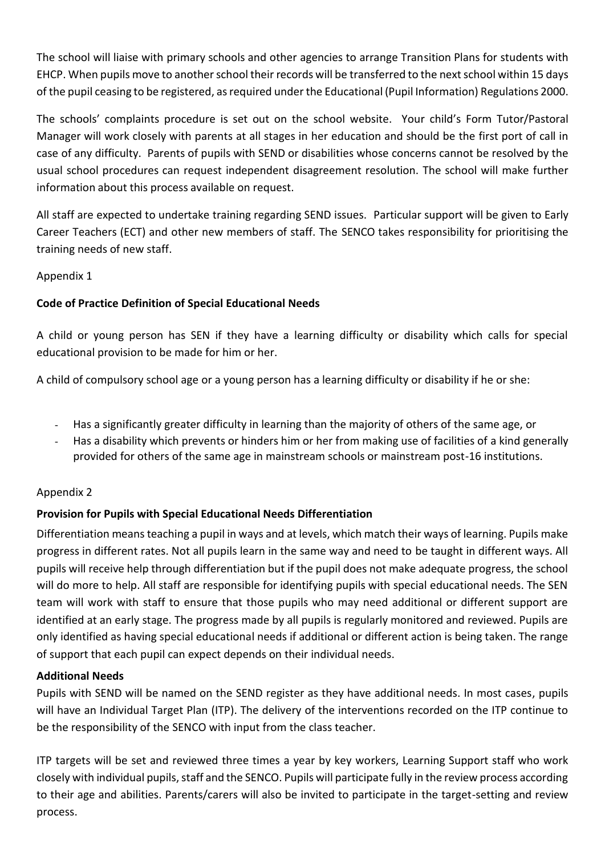The school will liaise with primary schools and other agencies to arrange Transition Plans for students with EHCP. When pupils move to another school their records will be transferred to the next school within 15 days of the pupil ceasing to be registered, asrequired underthe Educational (Pupil Information) Regulations 2000.

The schools' complaints procedure is set out on the school website. Your child's Form Tutor/Pastoral Manager will work closely with parents at all stages in her education and should be the first port of call in case of any difficulty. Parents of pupils with SEND or disabilities whose concerns cannot be resolved by the usual school procedures can request independent disagreement resolution. The school will make further information about this process available on request.

All staff are expected to undertake training regarding SEND issues. Particular support will be given to Early Career Teachers (ECT) and other new members of staff. The SENCO takes responsibility for prioritising the training needs of new staff.

#### Appendix 1

#### **Code of Practice Definition of Special Educational Needs**

A child or young person has SEN if they have a learning difficulty or disability which calls for special educational provision to be made for him or her.

A child of compulsory school age or a young person has a learning difficulty or disability if he or she:

- Has a significantly greater difficulty in learning than the majority of others of the same age, or
- Has a disability which prevents or hinders him or her from making use of facilities of a kind generally provided for others of the same age in mainstream schools or mainstream post-16 institutions.

#### Appendix 2

#### **Provision for Pupils with Special Educational Needs Differentiation**

Differentiation means teaching a pupil in ways and at levels, which match their ways of learning. Pupils make progress in different rates. Not all pupils learn in the same way and need to be taught in different ways. All pupils will receive help through differentiation but if the pupil does not make adequate progress, the school will do more to help. All staff are responsible for identifying pupils with special educational needs. The SEN team will work with staff to ensure that those pupils who may need additional or different support are identified at an early stage. The progress made by all pupils is regularly monitored and reviewed. Pupils are only identified as having special educational needs if additional or different action is being taken. The range of support that each pupil can expect depends on their individual needs.

#### **Additional Needs**

Pupils with SEND will be named on the SEND register as they have additional needs. In most cases, pupils will have an Individual Target Plan (ITP). The delivery of the interventions recorded on the ITP continue to be the responsibility of the SENCO with input from the class teacher.

ITP targets will be set and reviewed three times a year by key workers, Learning Support staff who work closely with individual pupils, staff and the SENCO. Pupils will participate fully in the review process according to their age and abilities. Parents/carers will also be invited to participate in the target-setting and review process.